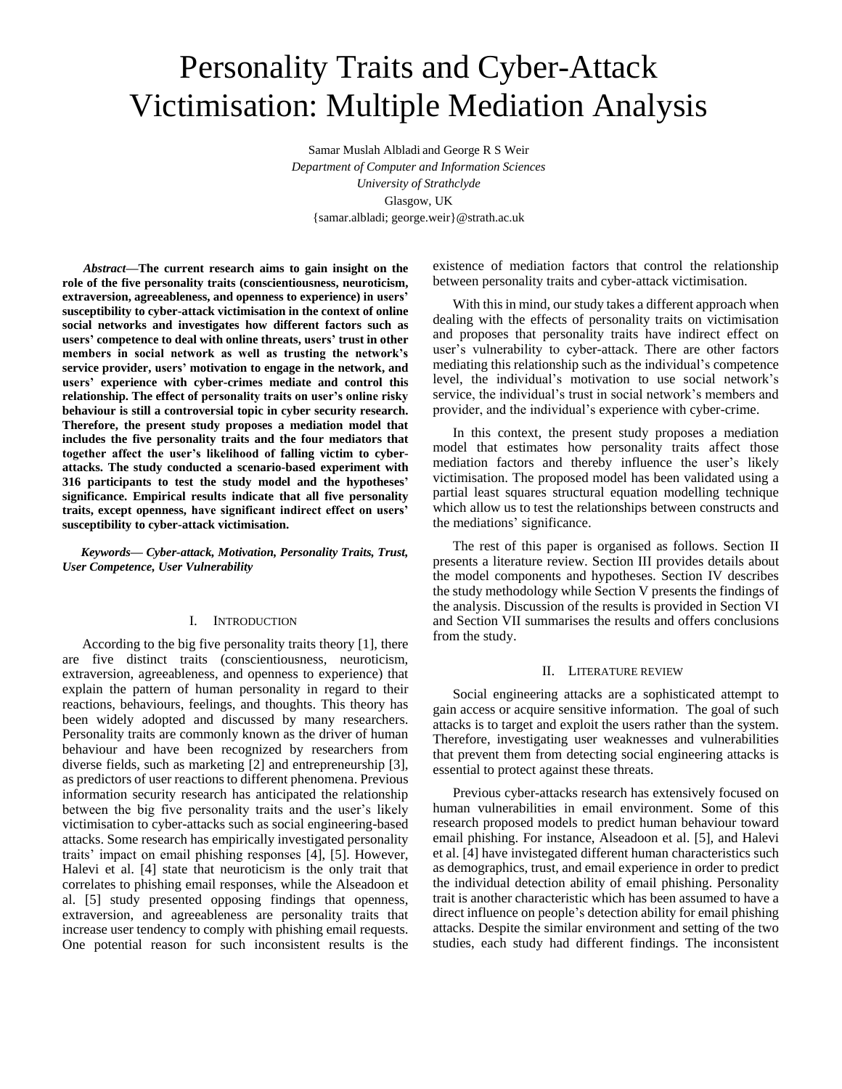# Personality Traits and Cyber-Attack Victimisation: Multiple Mediation Analysis

Samar Muslah Albladi and George R S Weir *Department of Computer and Information Sciences University of Strathclyde* Glasgow, UK {samar.albladi; george.weir}@strath.ac.uk

*Abstract—***The current research aims to gain insight on the role of the five personality traits (conscientiousness, neuroticism, extraversion, agreeableness, and openness to experience) in users' susceptibility to cyber-attack victimisation in the context of online social networks and investigates how different factors such as users' competence to deal with online threats, users' trust in other members in social network as well as trusting the network's service provider, users' motivation to engage in the network, and users' experience with cyber-crimes mediate and control this relationship. The effect of personality traits on user's online risky behaviour is still a controversial topic in cyber security research. Therefore, the present study proposes a mediation model that includes the five personality traits and the four mediators that together affect the user's likelihood of falling victim to cyberattacks. The study conducted a scenario-based experiment with 316 participants to test the study model and the hypotheses' significance. Empirical results indicate that all five personality traits, except openness, have significant indirect effect on users' susceptibility to cyber-attack victimisation.**

*Keywords— Cyber-attack, Motivation, Personality Traits, Trust, User Competence, User Vulnerability*

## I. INTRODUCTION

According to the big five personality traits theory [1], there are five distinct traits (conscientiousness, neuroticism, extraversion, agreeableness, and openness to experience) that explain the pattern of human personality in regard to their reactions, behaviours, feelings, and thoughts. This theory has been widely adopted and discussed by many researchers. Personality traits are commonly known as the driver of human behaviour and have been recognized by researchers from diverse fields, such as marketing [2] and entrepreneurship [3], as predictors of user reactions to different phenomena. Previous information security research has anticipated the relationship between the big five personality traits and the user's likely victimisation to cyber-attacks such as social engineering-based attacks. Some research has empirically investigated personality traits' impact on email phishing responses [4], [5]. However, Halevi et al. [4] state that neuroticism is the only trait that correlates to phishing email responses, while the Alseadoon et al. [5] study presented opposing findings that openness, extraversion, and agreeableness are personality traits that increase user tendency to comply with phishing email requests. One potential reason for such inconsistent results is the existence of mediation factors that control the relationship between personality traits and cyber-attack victimisation.

With this in mind, our study takes a different approach when dealing with the effects of personality traits on victimisation and proposes that personality traits have indirect effect on user's vulnerability to cyber-attack. There are other factors mediating this relationship such as the individual's competence level, the individual's motivation to use social network's service, the individual's trust in social network's members and provider, and the individual's experience with cyber-crime.

In this context, the present study proposes a mediation model that estimates how personality traits affect those mediation factors and thereby influence the user's likely victimisation. The proposed model has been validated using a partial least squares structural equation modelling technique which allow us to test the relationships between constructs and the mediations' significance.

The rest of this paper is organised as follows. Section II presents a literature review. Section III provides details about the model components and hypotheses. Section IV describes the study methodology while Section V presents the findings of the analysis. Discussion of the results is provided in Section VI and Section VII summarises the results and offers conclusions from the study.

## II. LITERATURE REVIEW

Social engineering attacks are a sophisticated attempt to gain access or acquire sensitive information. The goal of such attacks is to target and exploit the users rather than the system. Therefore, investigating user weaknesses and vulnerabilities that prevent them from detecting social engineering attacks is essential to protect against these threats.

Previous cyber-attacks research has extensively focused on human vulnerabilities in email environment. Some of this research proposed models to predict human behaviour toward email phishing. For instance, Alseadoon et al. [5], and Halevi et al. [4] have invistegated different human characteristics such as demographics, trust, and email experience in order to predict the individual detection ability of email phishing. Personality trait is another characteristic which has been assumed to have a direct influence on people's detection ability for email phishing attacks. Despite the similar environment and setting of the two studies, each study had different findings. The inconsistent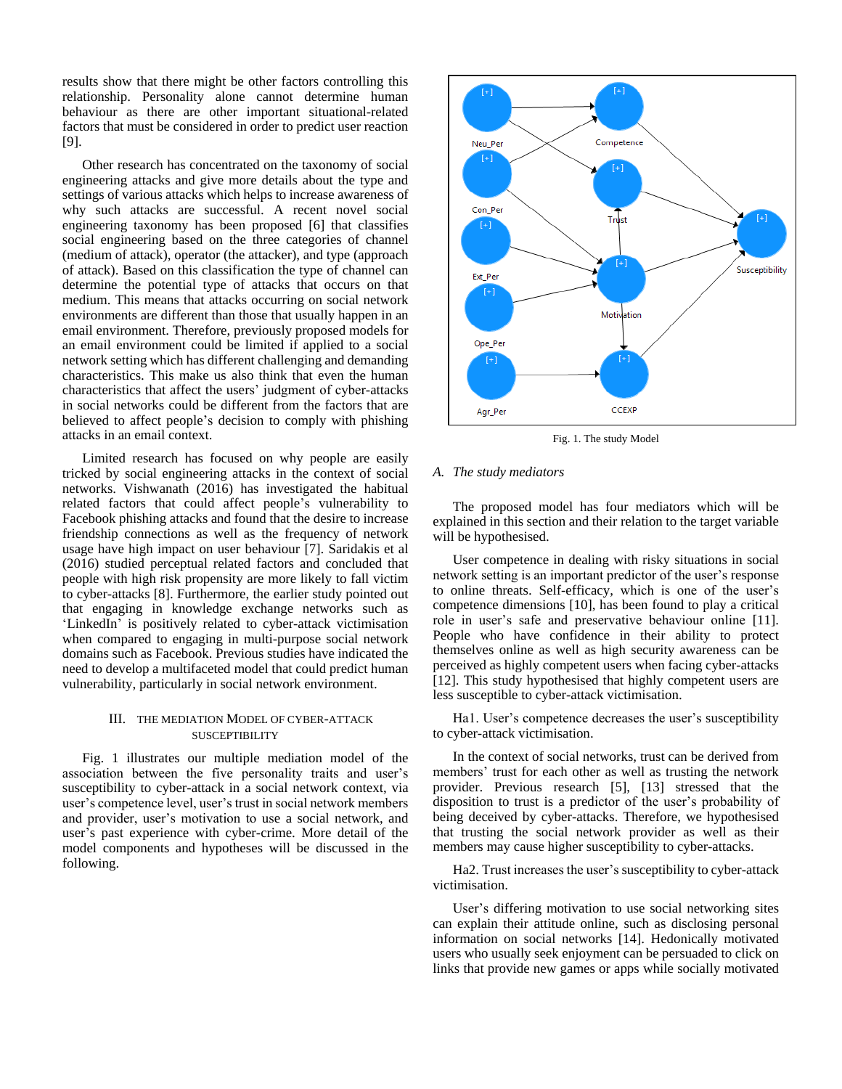results show that there might be other factors controlling this relationship. Personality alone cannot determine human behaviour as there are other important situational-related factors that must be considered in order to predict user reaction [9].

Other research has concentrated on the taxonomy of social engineering attacks and give more details about the type and settings of various attacks which helps to increase awareness of why such attacks are successful. A recent novel social engineering taxonomy has been proposed [6] that classifies social engineering based on the three categories of channel (medium of attack), operator (the attacker), and type (approach of attack). Based on this classification the type of channel can determine the potential type of attacks that occurs on that medium. This means that attacks occurring on social network environments are different than those that usually happen in an email environment. Therefore, previously proposed models for an email environment could be limited if applied to a social network setting which has different challenging and demanding characteristics. This make us also think that even the human characteristics that affect the users' judgment of cyber-attacks in social networks could be different from the factors that are believed to affect people's decision to comply with phishing attacks in an email context.

Limited research has focused on why people are easily tricked by social engineering attacks in the context of social networks. Vishwanath (2016) has investigated the habitual related factors that could affect people's vulnerability to Facebook phishing attacks and found that the desire to increase friendship connections as well as the frequency of network usage have high impact on user behaviour [7]. Saridakis et al (2016) studied perceptual related factors and concluded that people with high risk propensity are more likely to fall victim to cyber-attacks [8]. Furthermore, the earlier study pointed out that engaging in knowledge exchange networks such as 'LinkedIn' is positively related to cyber-attack victimisation when compared to engaging in multi-purpose social network domains such as Facebook. Previous studies have indicated the need to develop a multifaceted model that could predict human vulnerability, particularly in social network environment.

## III. THE MEDIATION MODEL OF CYBER-ATTACK **SUSCEPTIBILITY**

Fig. 1 illustrates our multiple mediation model of the association between the five personality traits and user's susceptibility to cyber-attack in a social network context, via user's competence level, user's trust in social network members and provider, user's motivation to use a social network, and user's past experience with cyber-crime. More detail of the model components and hypotheses will be discussed in the following.



Fig. 1. The study Model

## *A. The study mediators*

The proposed model has four mediators which will be explained in this section and their relation to the target variable will be hypothesised.

User competence in dealing with risky situations in social network setting is an important predictor of the user's response to online threats. Self-efficacy, which is one of the user's competence dimensions [10], has been found to play a critical role in user's safe and preservative behaviour online [11]. People who have confidence in their ability to protect themselves online as well as high security awareness can be perceived as highly competent users when facing cyber-attacks [12]. This study hypothesised that highly competent users are less susceptible to cyber-attack victimisation.

Ha1. User's competence decreases the user's susceptibility to cyber-attack victimisation.

In the context of social networks, trust can be derived from members' trust for each other as well as trusting the network provider. Previous research [5], [13] stressed that the disposition to trust is a predictor of the user's probability of being deceived by cyber-attacks. Therefore, we hypothesised that trusting the social network provider as well as their members may cause higher susceptibility to cyber-attacks.

Ha2. Trust increases the user's susceptibility to cyber-attack victimisation.

User's differing motivation to use social networking sites can explain their attitude online, such as disclosing personal information on social networks [14]. Hedonically motivated users who usually seek enjoyment can be persuaded to click on links that provide new games or apps while socially motivated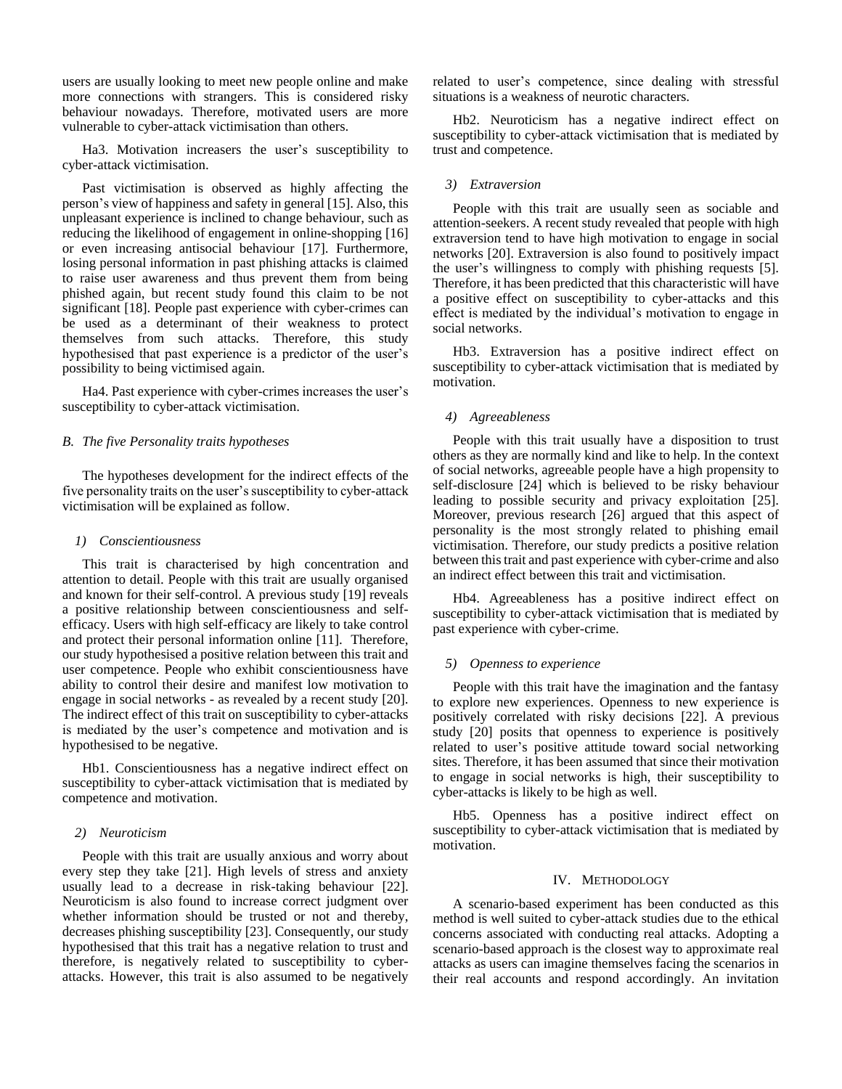users are usually looking to meet new people online and make more connections with strangers. This is considered risky behaviour nowadays. Therefore, motivated users are more vulnerable to cyber-attack victimisation than others.

Ha3. Motivation increasers the user's susceptibility to cyber-attack victimisation.

Past victimisation is observed as highly affecting the person's view of happiness and safety in general [15]. Also, this unpleasant experience is inclined to change behaviour, such as reducing the likelihood of engagement in online-shopping [16] or even increasing antisocial behaviour [17]. Furthermore, losing personal information in past phishing attacks is claimed to raise user awareness and thus prevent them from being phished again, but recent study found this claim to be not significant [18]. People past experience with cyber-crimes can be used as a determinant of their weakness to protect themselves from such attacks. Therefore, this study hypothesised that past experience is a predictor of the user's possibility to being victimised again.

Ha4. Past experience with cyber-crimes increases the user's susceptibility to cyber-attack victimisation.

#### *B. The five Personality traits hypotheses*

The hypotheses development for the indirect effects of the five personality traits on the user's susceptibility to cyber-attack victimisation will be explained as follow.

#### *1) Conscientiousness*

This trait is characterised by high concentration and attention to detail. People with this trait are usually organised and known for their self-control. A previous study [19] reveals a positive relationship between conscientiousness and selfefficacy. Users with high self-efficacy are likely to take control and protect their personal information online [11]. Therefore, our study hypothesised a positive relation between this trait and user competence. People who exhibit conscientiousness have ability to control their desire and manifest low motivation to engage in social networks - as revealed by a recent study [20]. The indirect effect of this trait on susceptibility to cyber-attacks is mediated by the user's competence and motivation and is hypothesised to be negative.

Hb1. Conscientiousness has a negative indirect effect on susceptibility to cyber-attack victimisation that is mediated by competence and motivation.

#### *2) Neuroticism*

People with this trait are usually anxious and worry about every step they take [21]. High levels of stress and anxiety usually lead to a decrease in risk-taking behaviour [22]. Neuroticism is also found to increase correct judgment over whether information should be trusted or not and thereby, decreases phishing susceptibility [23]. Consequently, our study hypothesised that this trait has a negative relation to trust and therefore, is negatively related to susceptibility to cyberattacks. However, this trait is also assumed to be negatively related to user's competence, since dealing with stressful situations is a weakness of neurotic characters.

Hb2. Neuroticism has a negative indirect effect on susceptibility to cyber-attack victimisation that is mediated by trust and competence.

#### *3) Extraversion*

People with this trait are usually seen as sociable and attention-seekers. A recent study revealed that people with high extraversion tend to have high motivation to engage in social networks [20]. Extraversion is also found to positively impact the user's willingness to comply with phishing requests [5]. Therefore, it has been predicted that this characteristic will have a positive effect on susceptibility to cyber-attacks and this effect is mediated by the individual's motivation to engage in social networks.

Hb3. Extraversion has a positive indirect effect on susceptibility to cyber-attack victimisation that is mediated by motivation.

## *4) Agreeableness*

People with this trait usually have a disposition to trust others as they are normally kind and like to help. In the context of social networks, agreeable people have a high propensity to self-disclosure [24] which is believed to be risky behaviour leading to possible security and privacy exploitation [25]. Moreover, previous research [26] argued that this aspect of personality is the most strongly related to phishing email victimisation. Therefore, our study predicts a positive relation between this trait and past experience with cyber-crime and also an indirect effect between this trait and victimisation.

Hb4. Agreeableness has a positive indirect effect on susceptibility to cyber-attack victimisation that is mediated by past experience with cyber-crime.

#### *5) Openness to experience*

People with this trait have the imagination and the fantasy to explore new experiences. Openness to new experience is positively correlated with risky decisions [22]. A previous study [20] posits that openness to experience is positively related to user's positive attitude toward social networking sites. Therefore, it has been assumed that since their motivation to engage in social networks is high, their susceptibility to cyber-attacks is likely to be high as well.

Hb5. Openness has a positive indirect effect on susceptibility to cyber-attack victimisation that is mediated by motivation.

#### IV. METHODOLOGY

A scenario-based experiment has been conducted as this method is well suited to cyber-attack studies due to the ethical concerns associated with conducting real attacks. Adopting a scenario-based approach is the closest way to approximate real attacks as users can imagine themselves facing the scenarios in their real accounts and respond accordingly. An invitation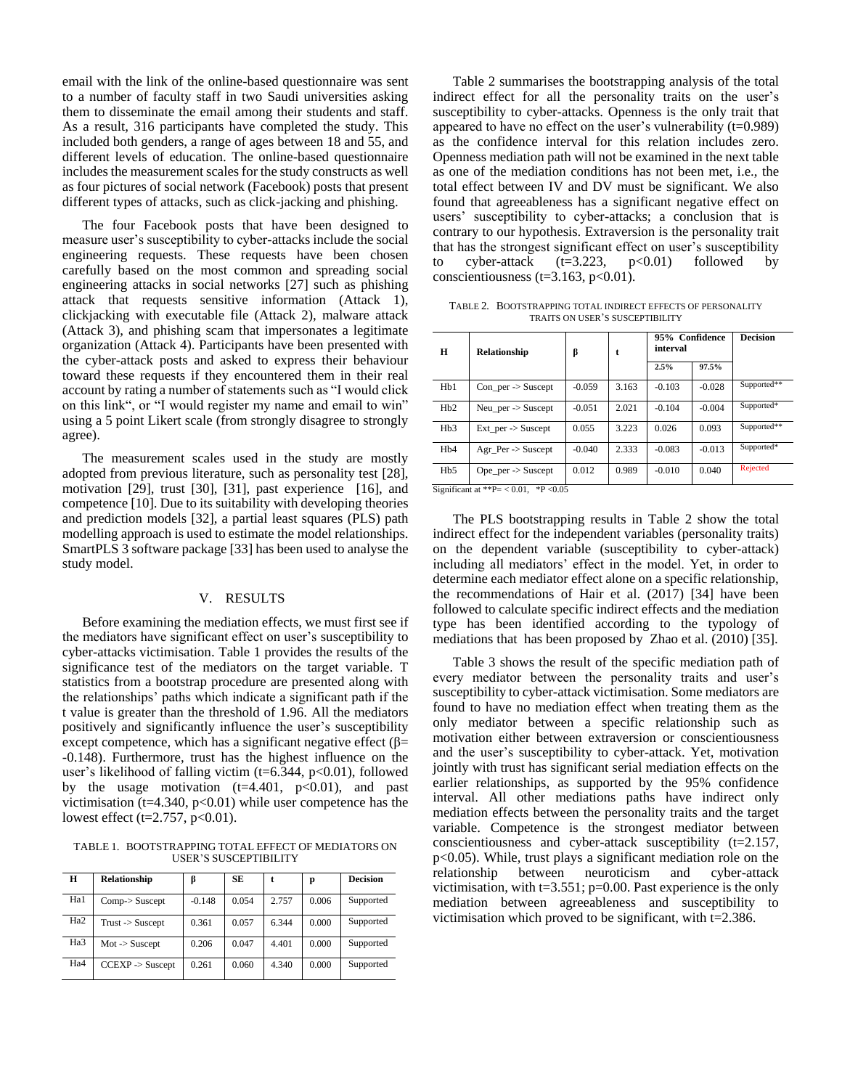email with the link of the online-based questionnaire was sent to a number of faculty staff in two Saudi universities asking them to disseminate the email among their students and staff. As a result, 316 participants have completed the study. This included both genders, a range of ages between 18 and 55, and different levels of education. The online-based questionnaire includes the measurement scales for the study constructs as well as four pictures of social network (Facebook) posts that present different types of attacks, such as click-jacking and phishing.

The four Facebook posts that have been designed to measure user's susceptibility to cyber-attacks include the social engineering requests. These requests have been chosen carefully based on the most common and spreading social engineering attacks in social networks [27] such as phishing attack that requests sensitive information (Attack 1), clickjacking with executable file (Attack 2), malware attack (Attack 3), and phishing scam that impersonates a legitimate organization (Attack 4). Participants have been presented with the cyber-attack posts and asked to express their behaviour toward these requests if they encountered them in their real account by rating a number of statements such as "I would click on this link", or "I would register my name and email to win" using a 5 point Likert scale (from strongly disagree to strongly agree).

The measurement scales used in the study are mostly adopted from previous literature, such as personality test [28], motivation [29], trust [30], [31], past experience [16], and competence [10]. Due to its suitability with developing theories and prediction models [32], a partial least squares (PLS) path modelling approach is used to estimate the model relationships. SmartPLS 3 software package [33] has been used to analyse the study model.

## V. RESULTS

Before examining the mediation effects, we must first see if the mediators have significant effect on user's susceptibility to cyber-attacks victimisation. Table 1 provides the results of the significance test of the mediators on the target variable. T statistics from a bootstrap procedure are presented along with the relationships' paths which indicate a significant path if the t value is greater than the threshold of 1.96. All the mediators positively and significantly influence the user's susceptibility except competence, which has a significant negative effect ( $\beta$ = -0.148). Furthermore, trust has the highest influence on the user's likelihood of falling victim ( $t=6.344$ ,  $p<0.01$ ), followed by the usage motivation  $(t=4.401, p<0.01)$ , and past victimisation ( $t=4.340$ ,  $p<0.01$ ) while user competence has the lowest effect (t=2.757, p<0.01).

TABLE 1. BOOTSTRAPPING TOTAL EFFECT OF MEDIATORS ON USER'S SUSCEPTIBILITY

| Н               | <b>Relationship</b>   |          | SE    |       | р     | <b>Decision</b> |
|-----------------|-----------------------|----------|-------|-------|-------|-----------------|
| Ha1             | $Comp$ $>$ Suscept    | $-0.148$ | 0.054 | 2.757 | 0.006 | Supported       |
| Ha <sub>2</sub> | $Trust$ $\gt$ Suscept | 0.361    | 0.057 | 6.344 | 0.000 | Supported       |
| Ha <sub>3</sub> | $Mot$ -> Suscept      | 0.206    | 0.047 | 4.401 | 0.000 | Supported       |
| Ha4             | $CCEXP$ -> Suscept    | 0.261    | 0.060 | 4.340 | 0.000 | Supported       |

Table 2 summarises the bootstrapping analysis of the total indirect effect for all the personality traits on the user's susceptibility to cyber-attacks. Openness is the only trait that appeared to have no effect on the user's vulnerability  $(t=0.989)$ as the confidence interval for this relation includes zero. Openness mediation path will not be examined in the next table as one of the mediation conditions has not been met, i.e., the total effect between IV and DV must be significant. We also found that agreeableness has a significant negative effect on users' susceptibility to cyber-attacks; a conclusion that is contrary to our hypothesis. Extraversion is the personality trait that has the strongest significant effect on user's susceptibility<br>to cyber-attack  $(t=3.223, p<0.01)$  followed by to cyber-attack  $(t=3.223, p<0.01)$  followed by conscientiousness ( $t=3.163$ ,  $p<0.01$ ).

| TABLE 2. BOOTSTRAPPING TOTAL INDIRECT EFFECTS OF PERSONALITY |
|--------------------------------------------------------------|
| TRAITS ON USER'S SUSCEPTIBILITY                              |

| H                | <b>Relationship</b>            | β        | t     | 95% Confidence<br>interval | <b>Decision</b> |             |
|------------------|--------------------------------|----------|-------|----------------------------|-----------------|-------------|
|                  |                                |          |       | 2.5%                       | 97.5%           |             |
| Hb1              | Con $per$ -> Suscept           | $-0.059$ | 3.163 | $-0.103$                   | $-0.028$        | Supported** |
| H <sub>b</sub> 2 | Neu $per$ -> Suscept           | $-0.051$ | 2.021 | $-0.104$                   | $-0.004$        | Supported*  |
| H <sub>b</sub> 3 | Ext $per$ -> Suscept           | 0.055    | 3.223 | 0.026                      | 0.093           | Supported** |
| H <sub>b</sub> 4 | Agr $Per$ -> Suscept           | $-0.040$ | 2.333 | $-0.083$                   | $-0.013$        | Supported*  |
| Hb5<br>$-1$      | $Ope\_per \rightarrow Suscept$ | 0.012    | 0.989 | $-0.010$                   | 0.040           | Rejected    |

Significant at \*\* P = < 0.01, \* P < 0.05

The PLS bootstrapping results in Table 2 show the total indirect effect for the independent variables (personality traits) on the dependent variable (susceptibility to cyber-attack) including all mediators' effect in the model. Yet, in order to determine each mediator effect alone on a specific relationship, the recommendations of Hair et al. (2017) [34] have been followed to calculate specific indirect effects and the mediation type has been identified according to the typology of mediations that has been proposed by Zhao et al. (2010) [35].

Table 3 shows the result of the specific mediation path of every mediator between the personality traits and user's susceptibility to cyber-attack victimisation. Some mediators are found to have no mediation effect when treating them as the only mediator between a specific relationship such as motivation either between extraversion or conscientiousness and the user's susceptibility to cyber-attack. Yet, motivation jointly with trust has significant serial mediation effects on the earlier relationships, as supported by the 95% confidence interval. All other mediations paths have indirect only mediation effects between the personality traits and the target variable. Competence is the strongest mediator between conscientiousness and cyber-attack susceptibility (t=2.157, p<0.05). While, trust plays a significant mediation role on the relationship between neuroticism and cyber-attack victimisation, with  $t=3.551$ ;  $p=0.00$ . Past experience is the only mediation between agreeableness and susceptibility to victimisation which proved to be significant, with t=2.386.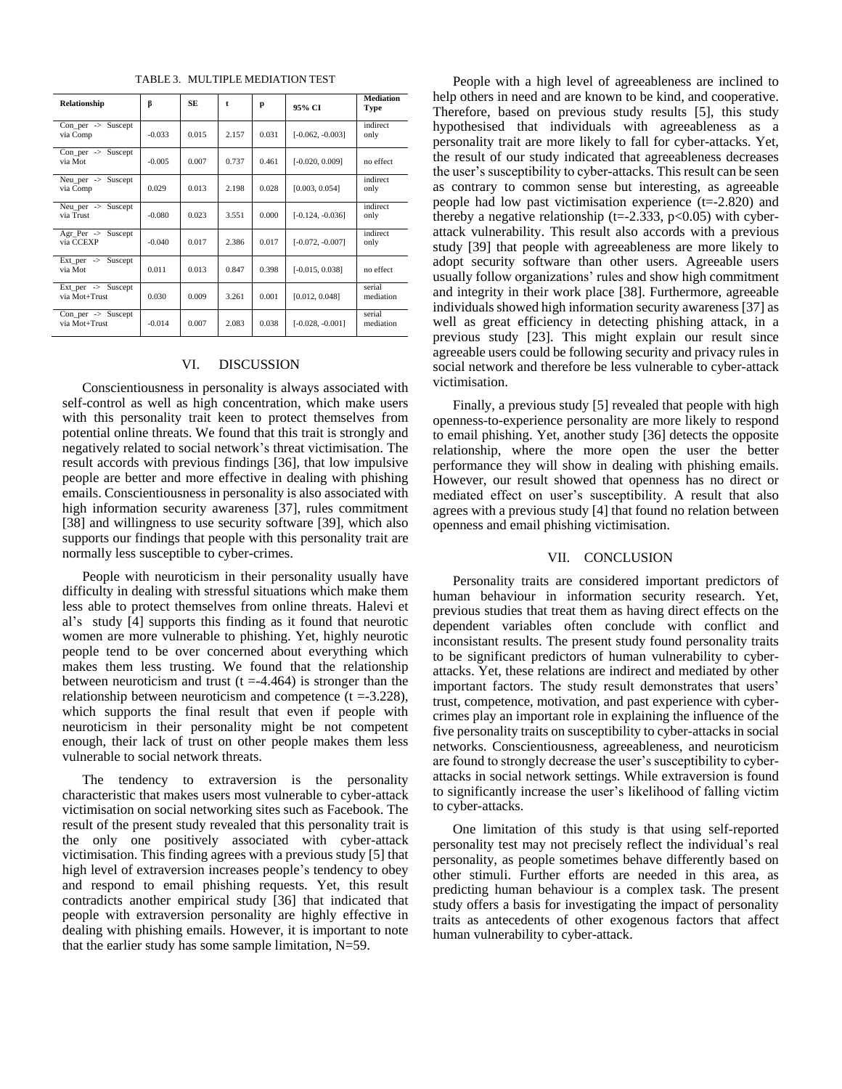| Relationship                                   | β        | SE    | t     | p     | 95% CI             | <b>Mediation</b><br><b>Type</b> |
|------------------------------------------------|----------|-------|-------|-------|--------------------|---------------------------------|
| Suscept<br>$Con\_per$ -><br>via Comp           | $-0.033$ | 0.015 | 2.157 | 0.031 | $[-0.062, -0.003]$ | indirect<br>only                |
| $Con\_per$ -> Suscept<br>via Mot               | $-0.005$ | 0.007 | 0.737 | 0.461 | $[-0.020, 0.009]$  | no effect                       |
| Suscept<br>Neu per $\rightarrow$<br>via Comp   | 0.029    | 0.013 | 2.198 | 0.028 | [0.003, 0.054]     | indirect<br>only                |
| Neu per $\rightarrow$ Suscept<br>via Trust     | $-0.080$ | 0.023 | 3.551 | 0.000 | $[-0.124, -0.036]$ | indirect<br>only                |
| Agr Per $\rightarrow$<br>Suscept<br>via CCEXP  | $-0.040$ | 0.017 | 2.386 | 0.017 | $[-0.072, -0.007]$ | indirect<br>only                |
| Suscept<br>$Ext\_per$ -><br>via Mot            | 0.011    | 0.013 | 0.847 | 0.398 | $[-0.015, 0.038]$  | no effect                       |
| Ext per $\rightarrow$ Suscept<br>via Mot+Trust | 0.030    | 0.009 | 3.261 | 0.001 | [0.012, 0.048]     | serial<br>mediation             |
| $Con\_per$ -> Suscept<br>via Mot+Trust         | $-0.014$ | 0.007 | 2.083 | 0.038 | $[-0.028, -0.001]$ | serial<br>mediation             |

#### TABLE 3. MULTIPLE MEDIATION TEST

## VI. DISCUSSION

Conscientiousness in personality is always associated with self-control as well as high concentration, which make users with this personality trait keen to protect themselves from potential online threats. We found that this trait is strongly and negatively related to social network's threat victimisation. The result accords with previous findings [36], that low impulsive people are better and more effective in dealing with phishing emails. Conscientiousness in personality is also associated with high information security awareness [37], rules commitment [38] and willingness to use security software [39], which also supports our findings that people with this personality trait are normally less susceptible to cyber-crimes.

People with neuroticism in their personality usually have difficulty in dealing with stressful situations which make them less able to protect themselves from online threats. Halevi et al's study [4] supports this finding as it found that neurotic women are more vulnerable to phishing. Yet, highly neurotic people tend to be over concerned about everything which makes them less trusting. We found that the relationship between neuroticism and trust  $(t = -4.464)$  is stronger than the relationship between neuroticism and competence  $(t = -3.228)$ , which supports the final result that even if people with neuroticism in their personality might be not competent enough, their lack of trust on other people makes them less vulnerable to social network threats.

The tendency to extraversion is the personality characteristic that makes users most vulnerable to cyber-attack victimisation on social networking sites such as Facebook. The result of the present study revealed that this personality trait is the only one positively associated with cyber-attack victimisation. This finding agrees with a previous study [5] that high level of extraversion increases people's tendency to obey and respond to email phishing requests. Yet, this result contradicts another empirical study [36] that indicated that people with extraversion personality are highly effective in dealing with phishing emails. However, it is important to note that the earlier study has some sample limitation, N=59.

People with a high level of agreeableness are inclined to help others in need and are known to be kind, and cooperative. Therefore, based on previous study results [5], this study hypothesised that individuals with agreeableness as a personality trait are more likely to fall for cyber-attacks. Yet, the result of our study indicated that agreeableness decreases the user's susceptibility to cyber-attacks. This result can be seen as contrary to common sense but interesting, as agreeable people had low past victimisation experience (t=-2.820) and thereby a negative relationship ( $t = -2.333$ ,  $p < 0.05$ ) with cyberattack vulnerability. This result also accords with a previous study [39] that people with agreeableness are more likely to adopt security software than other users. Agreeable users usually follow organizations' rules and show high commitment and integrity in their work place [38]. Furthermore, agreeable individuals showed high information security awareness [37] as well as great efficiency in detecting phishing attack, in a previous study [23]. This might explain our result since agreeable users could be following security and privacy rules in social network and therefore be less vulnerable to cyber-attack victimisation.

Finally, a previous study [5] revealed that people with high openness-to-experience personality are more likely to respond to email phishing. Yet, another study [36] detects the opposite relationship, where the more open the user the better performance they will show in dealing with phishing emails. However, our result showed that openness has no direct or mediated effect on user's susceptibility. A result that also agrees with a previous study [4] that found no relation between openness and email phishing victimisation.

#### VII. CONCLUSION

Personality traits are considered important predictors of human behaviour in information security research. Yet, previous studies that treat them as having direct effects on the dependent variables often conclude with conflict and inconsistant results. The present study found personality traits to be significant predictors of human vulnerability to cyberattacks. Yet, these relations are indirect and mediated by other important factors. The study result demonstrates that users' trust, competence, motivation, and past experience with cybercrimes play an important role in explaining the influence of the five personality traits on susceptibility to cyber-attacks in social networks. Conscientiousness, agreeableness, and neuroticism are found to strongly decrease the user's susceptibility to cyberattacks in social network settings. While extraversion is found to significantly increase the user's likelihood of falling victim to cyber-attacks.

One limitation of this study is that using self-reported personality test may not precisely reflect the individual's real personality, as people sometimes behave differently based on other stimuli. Further efforts are needed in this area, as predicting human behaviour is a complex task. The present study offers a basis for investigating the impact of personality traits as antecedents of other exogenous factors that affect human vulnerability to cyber-attack.